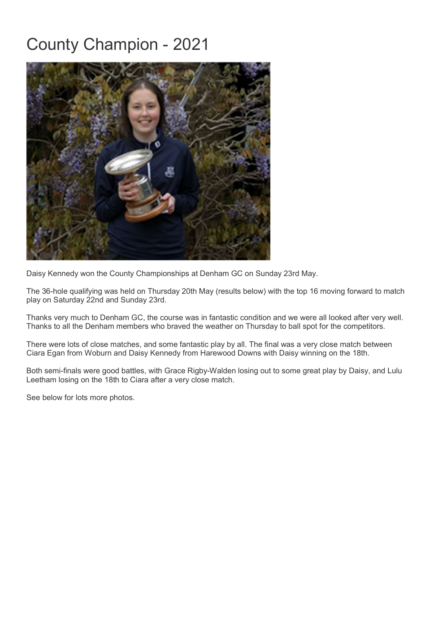## County Champion - 2021



Daisy Kennedy won the County Championships at Denham GC on Sunday 23rd May.

The 36-hole qualifying was held on Thursday 20th May (results below) with the top 16 moving forward to match play on Saturday 22nd and Sunday 23rd.

Thanks very much to Denham GC, the course was in fantastic condition and we were all looked after very well. Thanks to all the Denham members who braved the weather on Thursday to ball spot for the competitors.

There were lots of close matches, and some fantastic play by all. The final was a very close match between Ciara Egan from Woburn and Daisy Kennedy from Harewood Downs with Daisy winning on the 18th.

Both semi-finals were good battles, with Grace Rigby-Walden losing out to some great play by Daisy, and Lulu Leetham losing on the 18th to Ciara after a very close match.

See below for lots more photos.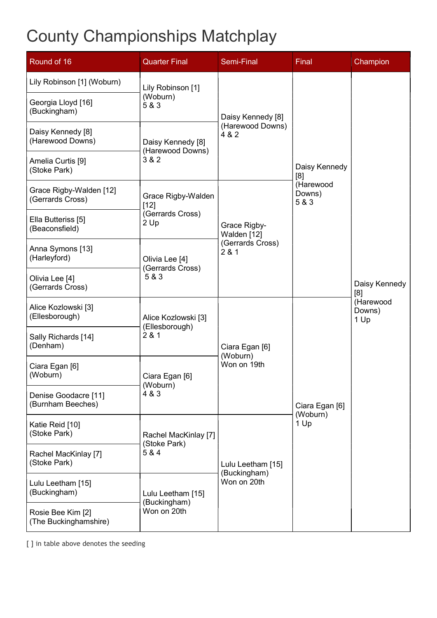## County Championships Matchplay

| Round of 16                                                      | <b>Quarter Final</b>                                     | <b>Semi-Final</b>                                      | Final                                                | Champion                                            |
|------------------------------------------------------------------|----------------------------------------------------------|--------------------------------------------------------|------------------------------------------------------|-----------------------------------------------------|
| Lily Robinson [1] (Woburn)<br>Georgia Lloyd [16]<br>(Buckingham) | Lily Robinson [1]<br>(Woburn)<br>5 & 3                   | Daisy Kennedy [8]<br>(Harewood Downs)<br>4 & 2         | Daisy Kennedy<br>[8]<br>(Harewood<br>Downs)<br>5 & 3 | Daisy Kennedy<br>[8]<br>(Harewood<br>Downs)<br>1 Up |
| Daisy Kennedy [8]<br>(Harewood Downs)                            | Daisy Kennedy [8]<br>(Harewood Downs)<br>3 & 2           |                                                        |                                                      |                                                     |
| Amelia Curtis [9]<br>(Stoke Park)                                |                                                          |                                                        |                                                      |                                                     |
| Grace Rigby-Walden [12]<br>(Gerrards Cross)                      | Grace Rigby-Walden<br>$[12]$<br>(Gerrards Cross)<br>2 Up | Grace Rigby-<br>Walden [12]<br>(Gerrards Cross)<br>281 |                                                      |                                                     |
| Ella Butteriss [5]<br>(Beaconsfield)                             |                                                          |                                                        |                                                      |                                                     |
| Anna Symons [13]<br>(Harleyford)                                 | Olivia Lee [4]<br>(Gerrards Cross)<br>5 & 3              |                                                        |                                                      |                                                     |
| Olivia Lee [4]<br>(Gerrards Cross)                               |                                                          |                                                        |                                                      |                                                     |
| Alice Kozlowski [3]<br>(Ellesborough)                            | Alice Kozlowski [3]<br>(Ellesborough)<br>2 & 1           | Ciara Egan [6]<br>(Woburn)<br>Won on 19th              | Ciara Egan [6]<br>(Woburn)<br>1 Up                   |                                                     |
| Sally Richards [14]<br>(Denham)                                  |                                                          |                                                        |                                                      |                                                     |
| Ciara Egan [6]<br>(Woburn)                                       | Ciara Egan [6]<br>(Woburn)<br>4 & 3                      |                                                        |                                                      |                                                     |
| Denise Goodacre [11]<br>(Burnham Beeches)                        |                                                          |                                                        |                                                      |                                                     |
| Katie Reid [10]<br>(Stoke Park)                                  | Rachel MacKinlay [7]<br>(Stoke Park)<br>5 & 4            | Lulu Leetham [15]<br>(Buckingham)<br>Won on 20th       |                                                      |                                                     |
| Rachel MacKinlay [7]<br>(Stoke Park)                             |                                                          |                                                        |                                                      |                                                     |
| Lulu Leetham [15]<br>(Buckingham)                                | Lulu Leetham [15]<br>(Buckingham)<br>Won on 20th         |                                                        |                                                      |                                                     |
| Rosie Bee Kim [2]<br>(The Buckinghamshire)                       |                                                          |                                                        |                                                      |                                                     |

[ ] in table above denotes the seeding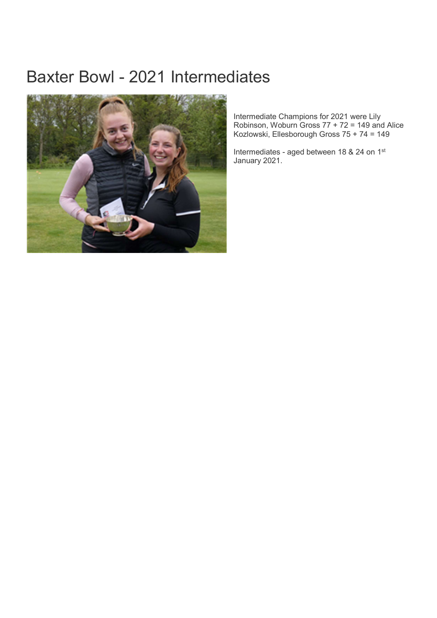## Baxter Bowl - 2021 Intermediates



Intermediate Champions for 2021 were Lily Robinson, Woburn Gross 77 + 72 = 149 and Alice Kozlowski, Ellesborough Gross 75 + 74 = 149

Intermediates - aged between 18 & 24 on 1st January 2021.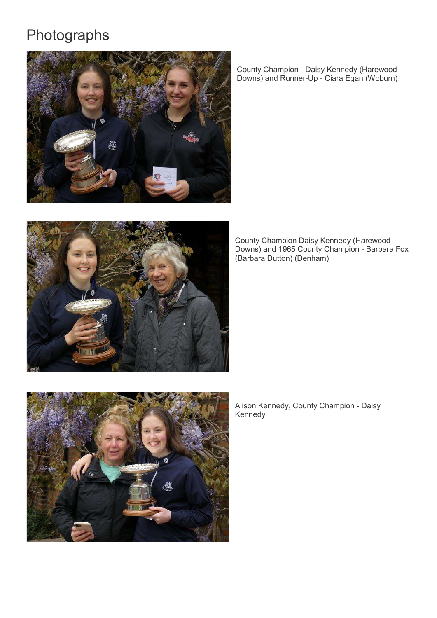## Photographs



County Champion - Daisy Kennedy (Harewood Downs) and Runner-Up - Ciara Egan (Woburn)



County Champion Daisy Kennedy (Harewood Downs) and 1965 County Champion - Barbara Fox (Barbara Dutton) (Denham)



Alison Kennedy, County Champion - Daisy Kennedy